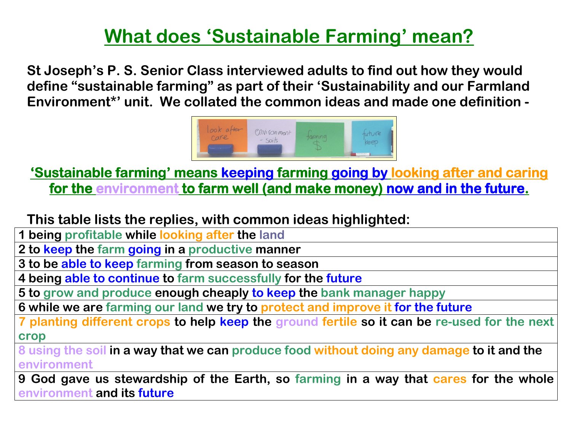## What does 'Sustainable Farming' mean?

St Joseph's P. S. Senior Class interviewed adults to find out how they would define "sustainable farming" as part of their 'Sustainability and our Farmland Environment\*' unit. We collated the common ideas and made one definition -



'Sustainab 'Sustainab Sustainable farming le farming' means keeping farming farming going by looking after and caring for the environment to farm well (and make money) now and in the future.

This table lists the replies, with common ideas highlighted:

1 being profitable while looking after the land<br>example:

2 to keep the farm going in a productive manner<br>3 to be able to keep farming from season to seas

3 to be able to keep farming from season to season<br>Almin to the contract of the fact of the fact of

4 being able to continue to farm successfully for the future

5 to grow and produce enough cheaply to keep the bank manager happy

6 while we are farming our land we try to protect and improve it for the future

7 planting different crops to help <mark>keep t</mark>he ground fertile so it can be re-used for the next crop

 8 using the soil in a way that we can produce food without doing any damage to it and the environment

9 God gave us stewardship of the Earth, so farming in a way that cares for the whole <u>environment and its future</u>